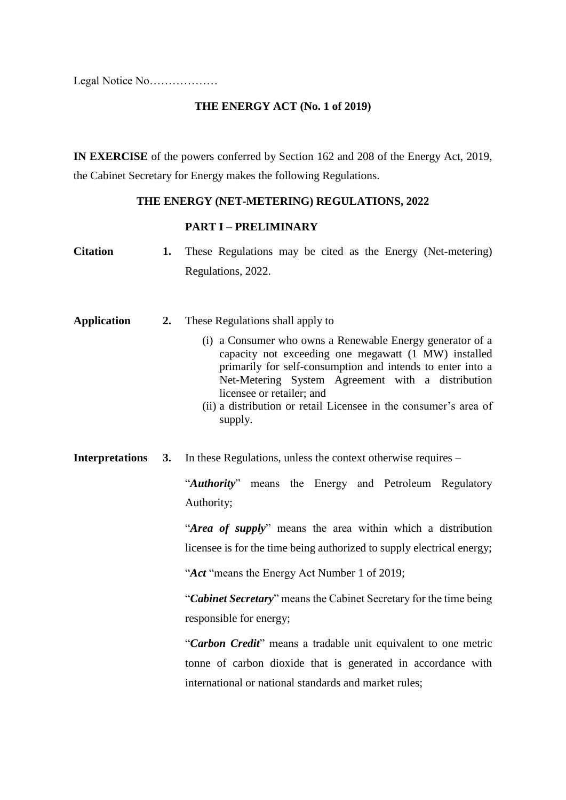Legal Notice No………………

# **THE ENERGY ACT (No. 1 of 2019)**

**IN EXERCISE** of the powers conferred by Section 162 and 208 of the Energy Act, 2019, the Cabinet Secretary for Energy makes the following Regulations.

# **THE ENERGY (NET-METERING) REGULATIONS, 2022**

#### **PART I – PRELIMINARY**

| <b>Citation</b>        | 1. | These Regulations may be cited as the Energy (Net-metering)<br>Regulations, 2022.                                                                                                                                                                                                                                                                                                                                                                                                                                                                                |
|------------------------|----|------------------------------------------------------------------------------------------------------------------------------------------------------------------------------------------------------------------------------------------------------------------------------------------------------------------------------------------------------------------------------------------------------------------------------------------------------------------------------------------------------------------------------------------------------------------|
| <b>Application</b>     | 2. | These Regulations shall apply to<br>(i) a Consumer who owns a Renewable Energy generator of a<br>capacity not exceeding one megawatt (1 MW) installed<br>primarily for self-consumption and intends to enter into a<br>Net-Metering System Agreement with a distribution<br>licensee or retailer; and<br>(ii) a distribution or retail Licensee in the consumer's area of<br>supply.                                                                                                                                                                             |
| <b>Interpretations</b> | 3. | In these Regulations, unless the context otherwise requires –<br>"Authority" means the Energy and Petroleum Regulatory<br>Authority;<br>"Area of supply" means the area within which a distribution<br>licensee is for the time being authorized to supply electrical energy;<br>"Act "means the Energy Act Number 1 of 2019;<br>"Cabinet Secretary" means the Cabinet Secretary for the time being<br>responsible for energy;<br>"Carbon Credit" means a tradable unit equivalent to one metric<br>tonne of carbon dioxide that is generated in accordance with |
|                        |    | international or national standards and market rules;                                                                                                                                                                                                                                                                                                                                                                                                                                                                                                            |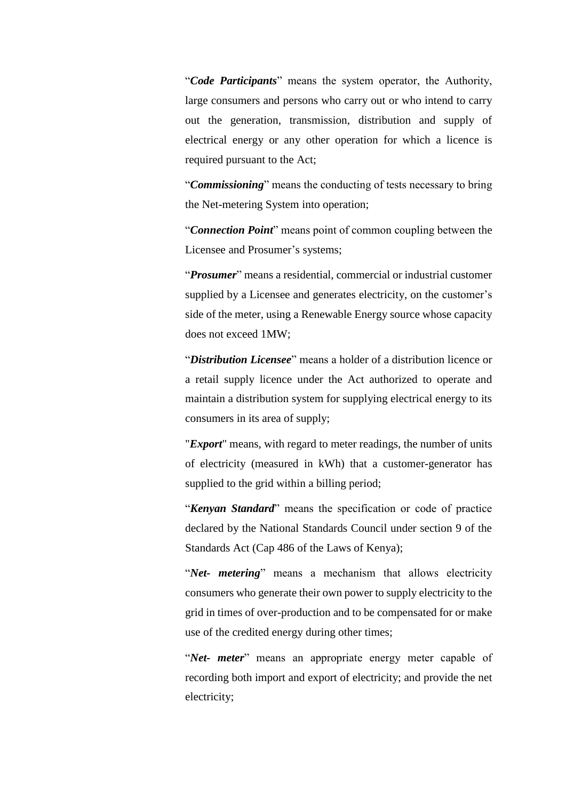"*Code Participants*" means the system operator, the Authority, large consumers and persons who carry out or who intend to carry out the generation, transmission, distribution and supply of electrical energy or any other operation for which a licence is required pursuant to the Act;

"*Commissioning*" means the conducting of tests necessary to bring the Net-metering System into operation;

"*Connection Point*" means point of common coupling between the Licensee and Prosumer's systems;

"*Prosumer*" means a residential, commercial or industrial customer supplied by a Licensee and generates electricity, on the customer's side of the meter, using a Renewable Energy source whose capacity does not exceed 1MW;

"*Distribution Licensee*" means a holder of a distribution licence or a retail supply licence under the Act authorized to operate and maintain a distribution system for supplying electrical energy to its consumers in its area of supply;

"*Export*" means, with regard to meter readings, the number of units of electricity (measured in kWh) that a customer-generator has supplied to the grid within a billing period;

"*Kenyan Standard*" means the specification or code of practice declared by the National Standards Council under section 9 of the Standards Act (Cap 486 of the Laws of Kenya);

"*Net- metering*" means a mechanism that allows electricity consumers who generate their own power to supply electricity to the grid in times of over-production and to be compensated for or make use of the credited energy during other times;

"*Net- meter*" means an appropriate energy meter capable of recording both import and export of electricity; and provide the net electricity;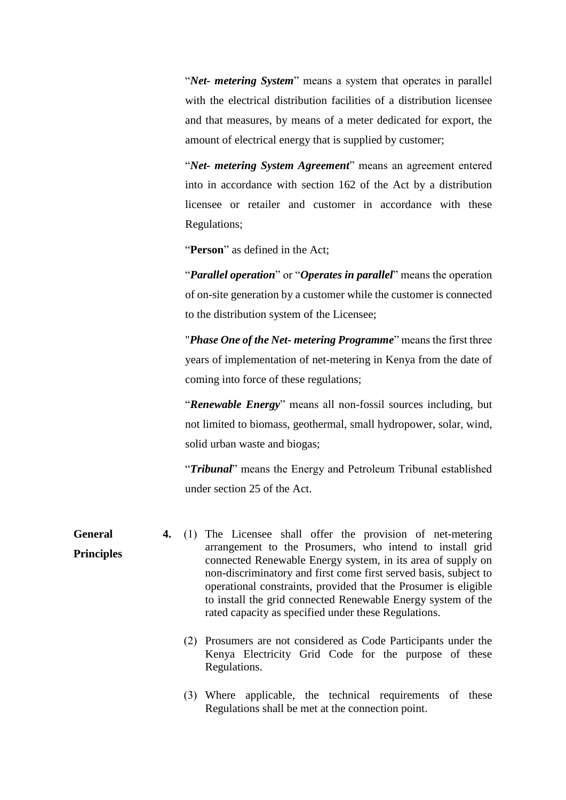"*Net- metering System*" means a system that operates in parallel with the electrical distribution facilities of a distribution licensee and that measures, by means of a meter dedicated for export, the amount of electrical energy that is supplied by customer;

"*Net- metering System Agreement*" means an agreement entered into in accordance with section 162 of the Act by a distribution licensee or retailer and customer in accordance with these Regulations;

"**Person**" as defined in the Act;

"*Parallel operation*" or "*Operates in parallel*" means the operation of on-site generation by a customer while the customer is connected to the distribution system of the Licensee;

"*Phase One of the Net- metering Programme*" means the first three years of implementation of net-metering in Kenya from the date of coming into force of these regulations;

"*Renewable Energy*" means all non-fossil sources including, but not limited to biomass, geothermal, small hydropower, solar, wind, solid urban waste and biogas;

"*Tribunal*" means the Energy and Petroleum Tribunal established under section 25 of the Act.

**General Principles 4.** (1) The Licensee shall offer the provision of net-metering arrangement to the Prosumers, who intend to install grid connected Renewable Energy system, in its area of supply on non-discriminatory and first come first served basis, subject to operational constraints, provided that the Prosumer is eligible to install the grid connected Renewable Energy system of the rated capacity as specified under these Regulations.

- (2) Prosumers are not considered as Code Participants under the Kenya Electricity Grid Code for the purpose of these Regulations.
- (3) Where applicable, the technical requirements of these Regulations shall be met at the connection point.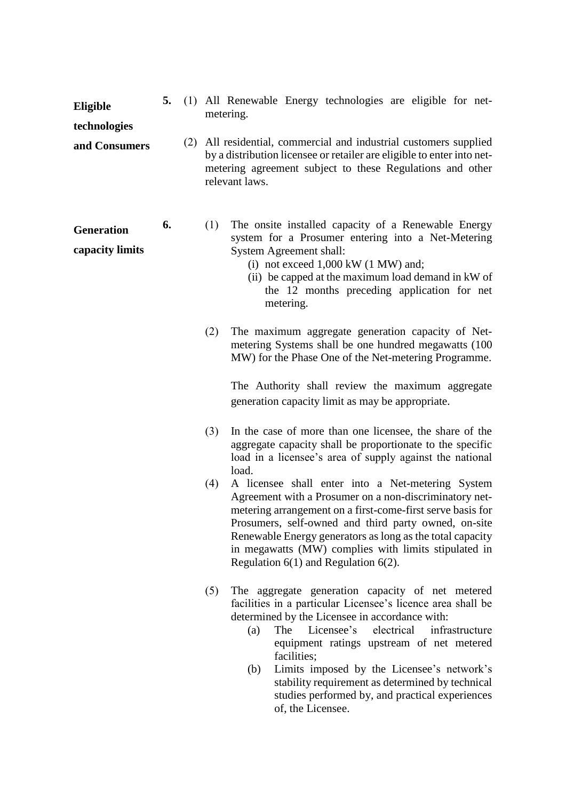| Eligible                             | 5. |     | metering. | (1) All Renewable Energy technologies are eligible for net-                                                                                                                                                                                                                                                                                                                                                                                           |  |  |  |  |  |
|--------------------------------------|----|-----|-----------|-------------------------------------------------------------------------------------------------------------------------------------------------------------------------------------------------------------------------------------------------------------------------------------------------------------------------------------------------------------------------------------------------------------------------------------------------------|--|--|--|--|--|
| technologies                         |    |     |           |                                                                                                                                                                                                                                                                                                                                                                                                                                                       |  |  |  |  |  |
| and Consumers                        |    | (2) |           | All residential, commercial and industrial customers supplied<br>by a distribution licensee or retailer are eligible to enter into net-<br>metering agreement subject to these Regulations and other<br>relevant laws.                                                                                                                                                                                                                                |  |  |  |  |  |
| <b>Generation</b><br>capacity limits | 6. |     | (1)       | The onsite installed capacity of a Renewable Energy<br>system for a Prosumer entering into a Net-Metering<br>System Agreement shall:<br>(i) not exceed $1,000 \text{ kW}$ (1 MW) and;<br>(ii) be capped at the maximum load demand in kW of<br>the 12 months preceding application for net<br>metering.                                                                                                                                               |  |  |  |  |  |
|                                      |    |     | (2)       | The maximum aggregate generation capacity of Net-<br>metering Systems shall be one hundred megawatts (100<br>MW) for the Phase One of the Net-metering Programme.                                                                                                                                                                                                                                                                                     |  |  |  |  |  |
|                                      |    |     |           | The Authority shall review the maximum aggregate<br>generation capacity limit as may be appropriate.                                                                                                                                                                                                                                                                                                                                                  |  |  |  |  |  |
|                                      |    |     | (3)       | In the case of more than one licensee, the share of the<br>aggregate capacity shall be proportionate to the specific<br>load in a licensee's area of supply against the national<br>load.                                                                                                                                                                                                                                                             |  |  |  |  |  |
|                                      |    |     | (4)       | A licensee shall enter into a Net-metering System<br>Agreement with a Prosumer on a non-discriminatory net-<br>metering arrangement on a first-come-first serve basis for<br>Prosumers, self-owned and third party owned, on-site<br>Renewable Energy generators as long as the total capacity<br>in megawatts (MW) complies with limits stipulated in<br>Regulation $6(1)$ and Regulation $6(2)$ .                                                   |  |  |  |  |  |
|                                      |    |     | (5)       | The aggregate generation capacity of net metered<br>facilities in a particular Licensee's licence area shall be<br>determined by the Licensee in accordance with:<br>Licensee's<br>electrical<br>infrastructure<br>The<br>(a)<br>equipment ratings upstream of net metered<br>facilities;<br>Limits imposed by the Licensee's network's<br>(b)<br>stability requirement as determined by technical<br>studies performed by, and practical experiences |  |  |  |  |  |

of, the Licensee.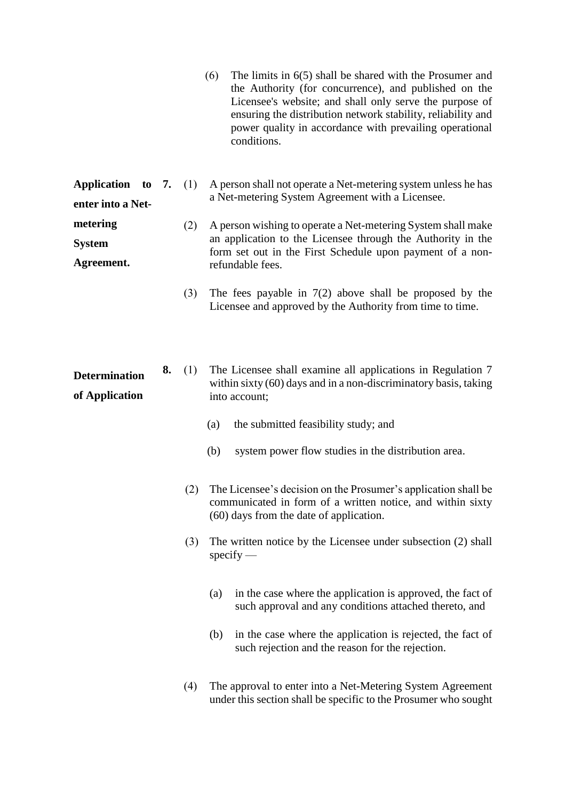(6) The limits in 6(5) shall be shared with the Prosumer and the Authority (for concurrence), and published on the Licensee's website; and shall only serve the purpose of ensuring the distribution network stability, reliability and power quality in accordance with prevailing operational conditions.

|                   |  | <b>Application</b> to 7. (1) A person shall not operate a Net-metering system unless he has |
|-------------------|--|---------------------------------------------------------------------------------------------|
| enter into a Net- |  | a Net-metering System Agreement with a Licensee.                                            |

- **metering System Agreement.** (2) A person wishing to operate a Net-metering System shall make an application to the Licensee through the Authority in the form set out in the First Schedule upon payment of a nonrefundable fees.
	- (3) The fees payable in 7(2) above shall be proposed by the Licensee and approved by the Authority from time to time.

**Determination of Application 8.** (1) The Licensee shall examine all applications in Regulation 7 within sixty (60) days and in a non-discriminatory basis, taking into account;

- (a) the submitted feasibility study; and
- (b) system power flow studies in the distribution area.
- (2) The Licensee's decision on the Prosumer's application shall be communicated in form of a written notice, and within sixty (60) days from the date of application.
- (3) The written notice by the Licensee under subsection (2) shall specify —
	- (a) in the case where the application is approved, the fact of such approval and any conditions attached thereto, and
	- (b) in the case where the application is rejected, the fact of such rejection and the reason for the rejection.
- (4) The approval to enter into a Net-Metering System Agreement under this section shall be specific to the Prosumer who sought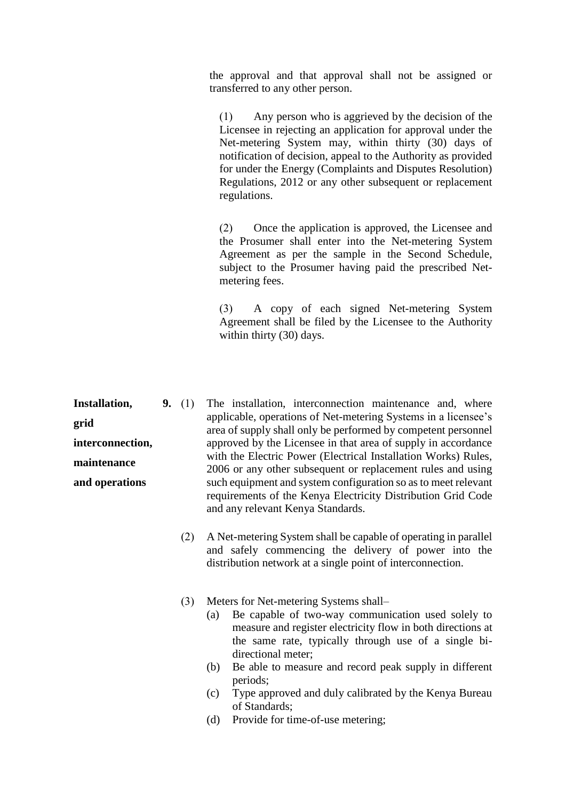the approval and that approval shall not be assigned or transferred to any other person.

(1) Any person who is aggrieved by the decision of the Licensee in rejecting an application for approval under the Net-metering System may, within thirty (30) days of notification of decision, appeal to the Authority as provided for under the Energy (Complaints and Disputes Resolution) Regulations, 2012 or any other subsequent or replacement regulations.

(2) Once the application is approved, the Licensee and the Prosumer shall enter into the Net-metering System Agreement as per the sample in the Second Schedule, subject to the Prosumer having paid the prescribed Netmetering fees.

(3) A copy of each signed Net-metering System Agreement shall be filed by the Licensee to the Authority within thirty (30) days.

**Installation, grid interconnection, maintenance and operations 9.** (1) The installation, interconnection maintenance and, where applicable, operations of Net-metering Systems in a licensee's area of supply shall only be performed by competent personnel approved by the Licensee in that area of supply in accordance with the Electric Power (Electrical Installation Works) Rules, 2006 or any other subsequent or replacement rules and using such equipment and system configuration so as to meet relevant requirements of the Kenya Electricity Distribution Grid Code and any relevant Kenya Standards.

- (2) A Net-metering System shall be capable of operating in parallel and safely commencing the delivery of power into the distribution network at a single point of interconnection.
- (3) Meters for Net-metering Systems shall–
	- (a) Be capable of two-way communication used solely to measure and register electricity flow in both directions at the same rate, typically through use of a single bidirectional meter;
	- (b) Be able to measure and record peak supply in different periods;
	- (c) Type approved and duly calibrated by the Kenya Bureau of Standards;
	- (d) Provide for time-of-use metering;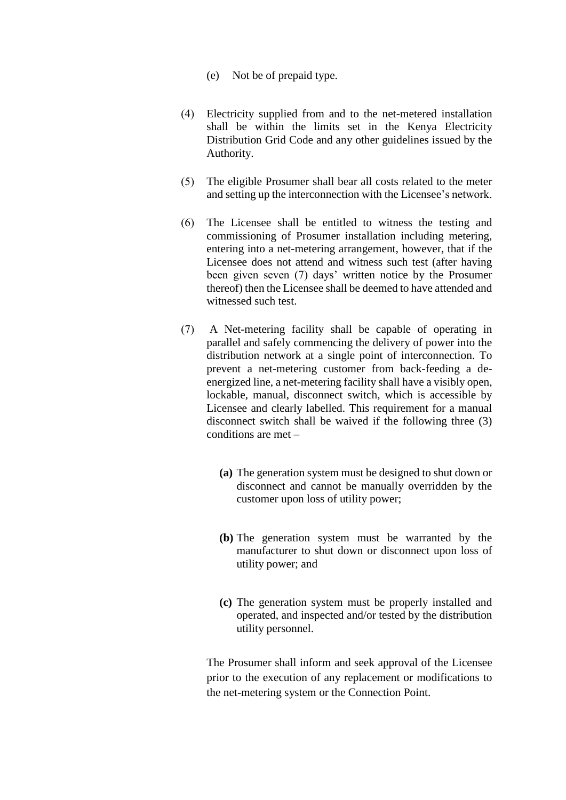- (e) Not be of prepaid type.
- (4) Electricity supplied from and to the net-metered installation shall be within the limits set in the Kenya Electricity Distribution Grid Code and any other guidelines issued by the Authority.
- (5) The eligible Prosumer shall bear all costs related to the meter and setting up the interconnection with the Licensee's network.
- (6) The Licensee shall be entitled to witness the testing and commissioning of Prosumer installation including metering, entering into a net-metering arrangement, however, that if the Licensee does not attend and witness such test (after having been given seven (7) days' written notice by the Prosumer thereof) then the Licensee shall be deemed to have attended and witnessed such test.
- (7) A Net-metering facility shall be capable of operating in parallel and safely commencing the delivery of power into the distribution network at a single point of interconnection. To prevent a net-metering customer from back-feeding a deenergized line, a net-metering facility shall have a visibly open, lockable, manual, disconnect switch, which is accessible by Licensee and clearly labelled. This requirement for a manual disconnect switch shall be waived if the following three (3) conditions are met –
	- **(a)** The generation system must be designed to shut down or disconnect and cannot be manually overridden by the customer upon loss of utility power;
	- **(b)** The generation system must be warranted by the manufacturer to shut down or disconnect upon loss of utility power; and
	- **(c)** The generation system must be properly installed and operated, and inspected and/or tested by the distribution utility personnel.

The Prosumer shall inform and seek approval of the Licensee prior to the execution of any replacement or modifications to the net-metering system or the Connection Point.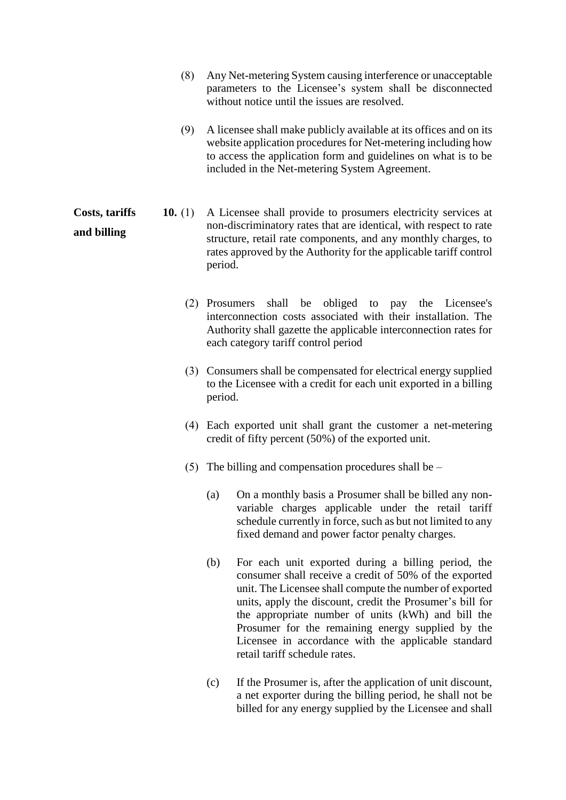- (8) Any Net-metering System causing interference or unacceptable parameters to the Licensee's system shall be disconnected without notice until the issues are resolved.
- (9) A licensee shall make publicly available at its offices and on its website application procedures for Net-metering including how to access the application form and guidelines on what is to be included in the Net-metering System Agreement.
- **Costs, tariffs and billing 10.** (1) A Licensee shall provide to prosumers electricity services at non-discriminatory rates that are identical, with respect to rate structure, retail rate components, and any monthly charges, to rates approved by the Authority for the applicable tariff control period.
	- (2) Prosumers shall be obliged to pay the Licensee's interconnection costs associated with their installation. The Authority shall gazette the applicable interconnection rates for each category tariff control period
	- (3) Consumers shall be compensated for electrical energy supplied to the Licensee with a credit for each unit exported in a billing period.
	- (4) Each exported unit shall grant the customer a net-metering credit of fifty percent (50%) of the exported unit.
	- (5) The billing and compensation procedures shall be
		- (a) On a monthly basis a Prosumer shall be billed any nonvariable charges applicable under the retail tariff schedule currently in force, such as but not limited to any fixed demand and power factor penalty charges.
		- (b) For each unit exported during a billing period, the consumer shall receive a credit of 50% of the exported unit. The Licensee shall compute the number of exported units, apply the discount, credit the Prosumer's bill for the appropriate number of units (kWh) and bill the Prosumer for the remaining energy supplied by the Licensee in accordance with the applicable standard retail tariff schedule rates.
		- (c) If the Prosumer is, after the application of unit discount, a net exporter during the billing period, he shall not be billed for any energy supplied by the Licensee and shall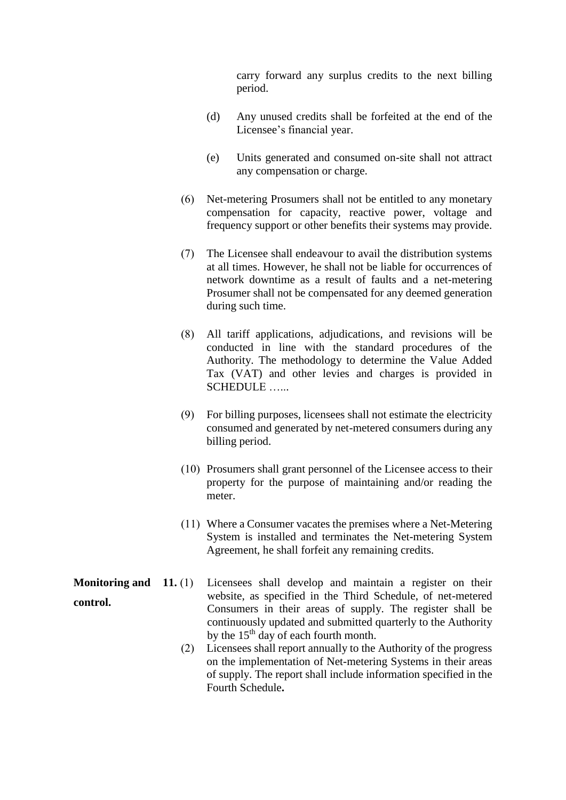carry forward any surplus credits to the next billing period.

- (d) Any unused credits shall be forfeited at the end of the Licensee's financial year.
- (e) Units generated and consumed on-site shall not attract any compensation or charge.
- (6) Net-metering Prosumers shall not be entitled to any monetary compensation for capacity, reactive power, voltage and frequency support or other benefits their systems may provide.
- (7) The Licensee shall endeavour to avail the distribution systems at all times. However, he shall not be liable for occurrences of network downtime as a result of faults and a net-metering Prosumer shall not be compensated for any deemed generation during such time.
- (8) All tariff applications, adjudications, and revisions will be conducted in line with the standard procedures of the Authority. The methodology to determine the Value Added Tax (VAT) and other levies and charges is provided in SCHEDULE …...
- (9) For billing purposes, licensees shall not estimate the electricity consumed and generated by net-metered consumers during any billing period.
- (10) Prosumers shall grant personnel of the Licensee access to their property for the purpose of maintaining and/or reading the meter.
- (11) Where a Consumer vacates the premises where a Net-Metering System is installed and terminates the Net-metering System Agreement, he shall forfeit any remaining credits.

**Monitoring and 11.** (1) **control.** Licensees shall develop and maintain a register on their website, as specified in the Third Schedule, of net-metered Consumers in their areas of supply. The register shall be continuously updated and submitted quarterly to the Authority by the 15<sup>th</sup> day of each fourth month.

> (2) Licensees shall report annually to the Authority of the progress on the implementation of Net-metering Systems in their areas of supply. The report shall include information specified in the Fourth Schedule**.**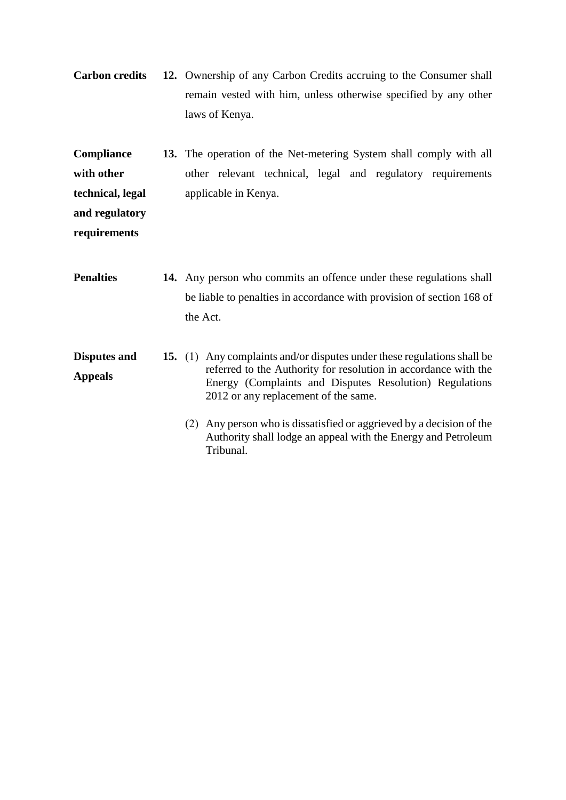**Carbon credits 12.** Ownership of any Carbon Credits accruing to the Consumer shall remain vested with him, unless otherwise specified by any other laws of Kenya.

**Compliance with other technical, legal and regulatory 13.** The operation of the Net-metering System shall comply with all other relevant technical, legal and regulatory requirements applicable in Kenya.

**requirements**

- **Penalties** 14. Any person who commits an offence under these regulations shall be liable to penalties in accordance with provision of section 168 of the Act.
- **Disputes and Appeals 15.** (1) Any complaints and/or disputes under these regulations shall be referred to the Authority for resolution in accordance with the Energy (Complaints and Disputes Resolution) Regulations 2012 or any replacement of the same.
	- (2) Any person who is dissatisfied or aggrieved by a decision of the Authority shall lodge an appeal with the Energy and Petroleum Tribunal.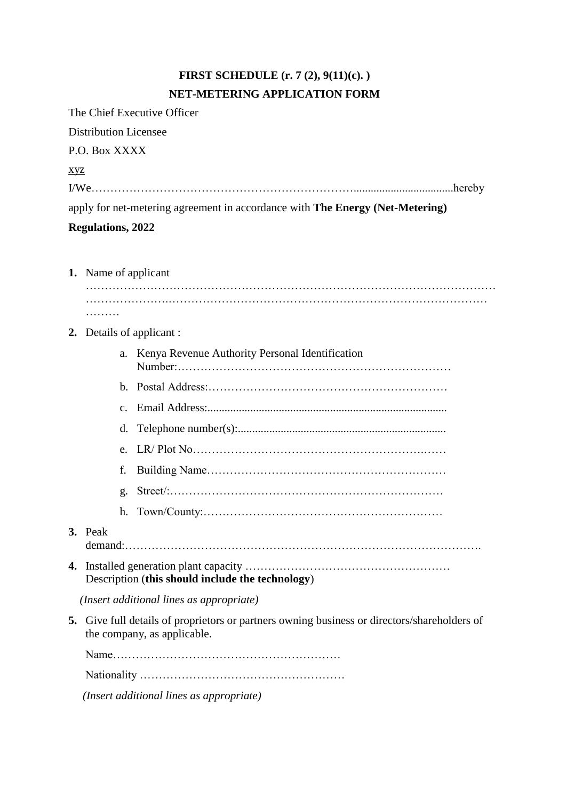# **FIRST SCHEDULE (r. 7 (2), 9(11)(c). ) NET-METERING APPLICATION FORM**

The Chief Executive Officer Distribution Licensee P.O. Box XXXX xyz I/We……………………………………………………………...................................hereby apply for net-metering agreement in accordance with **The Energy (Net-Metering) Regulations, 2022**

# **1.** Name of applicant

| . |  |  |
|---|--|--|

# **2.** Details of applicant :

|    |         | a.      | Kenya Revenue Authority Personal Identification                                                                          |
|----|---------|---------|--------------------------------------------------------------------------------------------------------------------------|
|    |         |         |                                                                                                                          |
|    |         | $C_{-}$ |                                                                                                                          |
|    |         | d.      |                                                                                                                          |
|    |         | e.      |                                                                                                                          |
|    |         | f.      |                                                                                                                          |
|    |         | g.      |                                                                                                                          |
|    |         | h.      |                                                                                                                          |
|    | 3. Peak |         |                                                                                                                          |
|    |         |         | Description (this should include the technology)                                                                         |
|    |         |         | (Insert additional lines as appropriate)                                                                                 |
| 5. |         |         | Give full details of proprietors or partners owning business or directors/shareholders of<br>the company, as applicable. |
|    |         |         |                                                                                                                          |
|    |         |         |                                                                                                                          |

 *(Insert additional lines as appropriate)*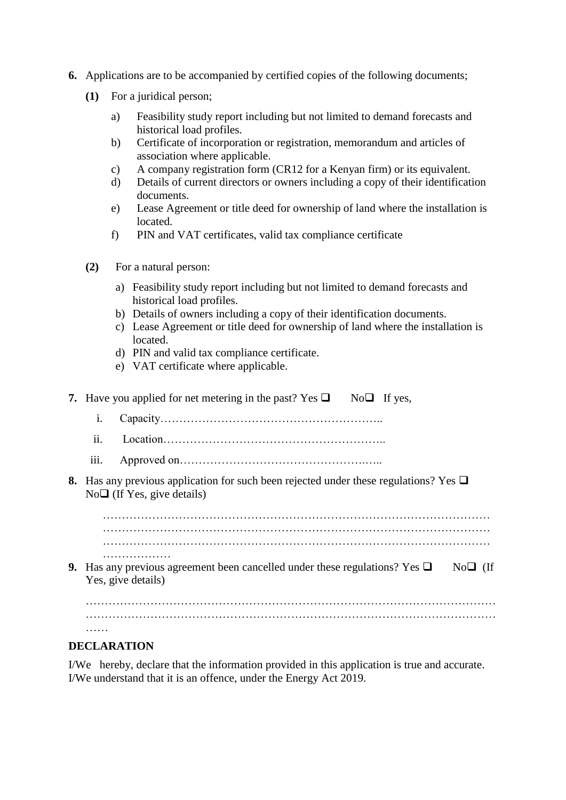- **6.** Applications are to be accompanied by certified copies of the following documents;
	- **(1)** For a juridical person;
		- a) Feasibility study report including but not limited to demand forecasts and historical load profiles.
		- b) Certificate of incorporation or registration, memorandum and articles of association where applicable.
		- c) A company registration form (CR12 for a Kenyan firm) or its equivalent.
		- d) Details of current directors or owners including a copy of their identification documents.
		- e) Lease Agreement or title deed for ownership of land where the installation is located.
		- f) PIN and VAT certificates, valid tax compliance certificate
	- **(2)** For a natural person:
		- a) Feasibility study report including but not limited to demand forecasts and historical load profiles.
		- b) Details of owners including a copy of their identification documents.
		- c) Lease Agreement or title deed for ownership of land where the installation is located.
		- d) PIN and valid tax compliance certificate.
		- e) VAT certificate where applicable.

|                   | 7. Have you applied for net metering in the past? Yes $\Box$ No $\Box$ If yes,                                                       |  |
|-------------------|--------------------------------------------------------------------------------------------------------------------------------------|--|
| i.                |                                                                                                                                      |  |
| $\overline{11}$ . |                                                                                                                                      |  |
| iii.              |                                                                                                                                      |  |
|                   | <b>8.</b> Has any previous application for such been rejected under these regulations? Yes $\Box$<br>$No\Box$ (If Yes, give details) |  |
|                   |                                                                                                                                      |  |
|                   | .<br><b>9.</b> Has any previous agreement been cancelled under these regulations? Yes $\Box$<br>$N0 \Box$ (If<br>Yes, give details)  |  |
|                   |                                                                                                                                      |  |
| .                 |                                                                                                                                      |  |

#### **DECLARATION**

I/We hereby, declare that the information provided in this application is true and accurate. I/We understand that it is an offence, under the Energy Act 2019.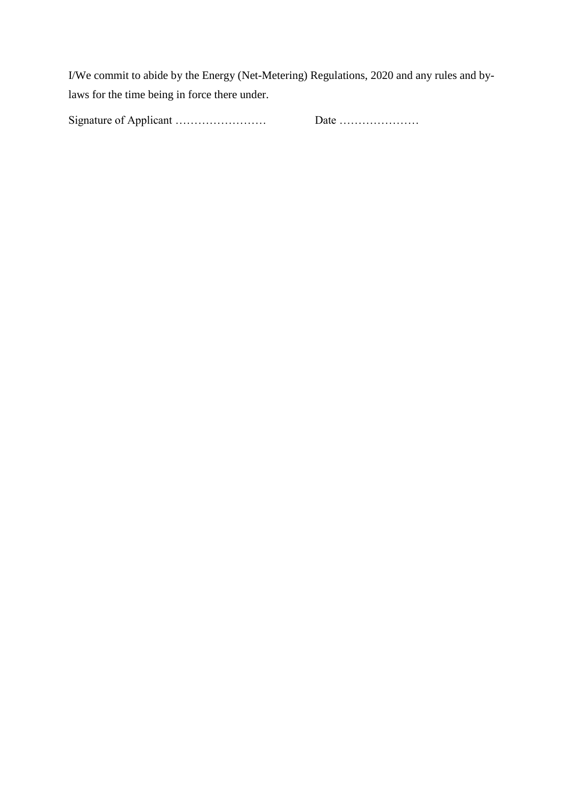I/We commit to abide by the Energy (Net-Metering) Regulations, 2020 and any rules and bylaws for the time being in force there under.

Signature of Applicant …………………… Date …………………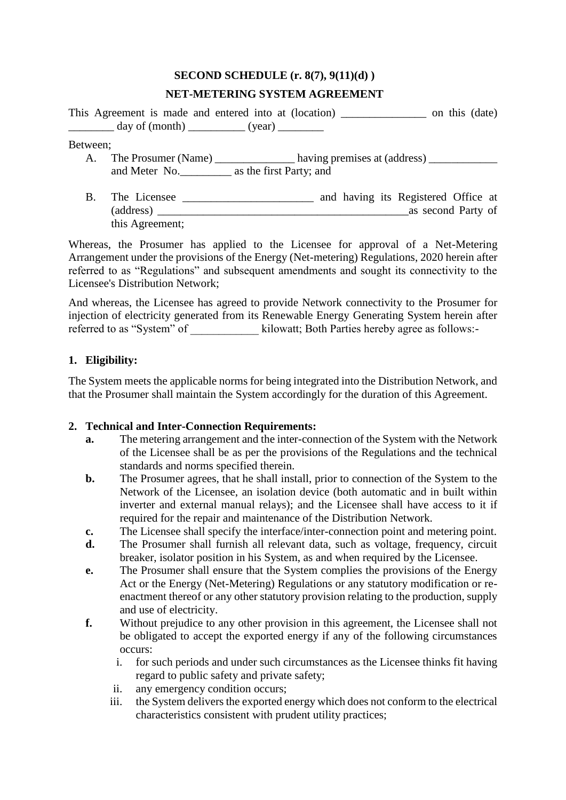# **SECOND SCHEDULE (r. 8(7), 9(11)(d) ) NET-METERING SYSTEM AGREEMENT**

This Agreement is made and entered into at (location) \_\_\_\_\_\_\_\_\_\_\_\_\_\_\_ on this (date)  $\frac{day \text{ of } (month)}{y \text{ on } (wall)}$ 

#### Between;

- A. The Prosumer (Name) \_\_\_\_\_\_\_\_\_\_\_\_\_\_\_ having premises at (address) \_\_\_\_\_\_\_\_\_\_\_\_ and Meter No. as the first Party; and
- B. The Licensee \_\_\_\_\_\_\_\_\_\_\_\_\_\_\_\_\_\_\_\_\_\_\_\_\_ and having its Registered Office at (address) \_\_\_\_\_\_\_\_\_\_\_\_\_\_\_\_\_\_\_\_\_\_\_\_\_\_\_\_\_\_\_\_\_\_\_\_\_\_\_\_\_\_\_\_as second Party of this Agreement;

Whereas, the Prosumer has applied to the Licensee for approval of a Net-Metering Arrangement under the provisions of the Energy (Net-metering) Regulations, 2020 herein after referred to as "Regulations" and subsequent amendments and sought its connectivity to the Licensee's Distribution Network;

And whereas, the Licensee has agreed to provide Network connectivity to the Prosumer for injection of electricity generated from its Renewable Energy Generating System herein after referred to as "System" of  $\qquad \qquad$  kilowatt; Both Parties hereby agree as follows:-

# **1. Eligibility:**

The System meets the applicable norms for being integrated into the Distribution Network, and that the Prosumer shall maintain the System accordingly for the duration of this Agreement.

# **2. Technical and Inter-Connection Requirements:**

- **a.** The metering arrangement and the inter-connection of the System with the Network of the Licensee shall be as per the provisions of the Regulations and the technical standards and norms specified therein.
- **b.** The Prosumer agrees, that he shall install, prior to connection of the System to the Network of the Licensee, an isolation device (both automatic and in built within inverter and external manual relays); and the Licensee shall have access to it if required for the repair and maintenance of the Distribution Network.
- **c.** The Licensee shall specify the interface/inter-connection point and metering point.
- **d.** The Prosumer shall furnish all relevant data, such as voltage, frequency, circuit breaker, isolator position in his System, as and when required by the Licensee.
- **e.** The Prosumer shall ensure that the System complies the provisions of the Energy Act or the Energy (Net-Metering) Regulations or any statutory modification or reenactment thereof or any other statutory provision relating to the production, supply and use of electricity.
- **f.** Without prejudice to any other provision in this agreement, the Licensee shall not be obligated to accept the exported energy if any of the following circumstances occurs:
	- i. for such periods and under such circumstances as the Licensee thinks fit having regard to public safety and private safety;
	- ii. any emergency condition occurs;
	- iii. the System delivers the exported energy which does not conform to the electrical characteristics consistent with prudent utility practices;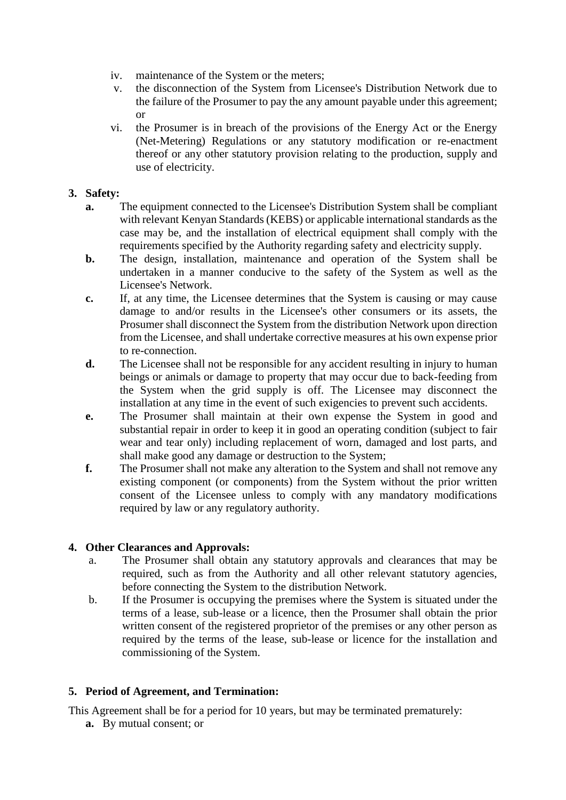- iv. maintenance of the System or the meters;
- v. the disconnection of the System from Licensee's Distribution Network due to the failure of the Prosumer to pay the any amount payable under this agreement; or
- vi. the Prosumer is in breach of the provisions of the Energy Act or the Energy (Net-Metering) Regulations or any statutory modification or re-enactment thereof or any other statutory provision relating to the production, supply and use of electricity.

### **3. Safety:**

- **a.** The equipment connected to the Licensee's Distribution System shall be compliant with relevant Kenyan Standards (KEBS) or applicable international standards as the case may be, and the installation of electrical equipment shall comply with the requirements specified by the Authority regarding safety and electricity supply.
- **b.** The design, installation, maintenance and operation of the System shall be undertaken in a manner conducive to the safety of the System as well as the Licensee's Network.
- **c.** If, at any time, the Licensee determines that the System is causing or may cause damage to and/or results in the Licensee's other consumers or its assets, the Prosumer shall disconnect the System from the distribution Network upon direction from the Licensee, and shall undertake corrective measures at his own expense prior to re-connection.
- **d.** The Licensee shall not be responsible for any accident resulting in injury to human beings or animals or damage to property that may occur due to back-feeding from the System when the grid supply is off. The Licensee may disconnect the installation at any time in the event of such exigencies to prevent such accidents.
- **e.** The Prosumer shall maintain at their own expense the System in good and substantial repair in order to keep it in good an operating condition (subject to fair wear and tear only) including replacement of worn, damaged and lost parts, and shall make good any damage or destruction to the System;
- **f.** The Prosumer shall not make any alteration to the System and shall not remove any existing component (or components) from the System without the prior written consent of the Licensee unless to comply with any mandatory modifications required by law or any regulatory authority.

# **4. Other Clearances and Approvals:**

- a. The Prosumer shall obtain any statutory approvals and clearances that may be required, such as from the Authority and all other relevant statutory agencies, before connecting the System to the distribution Network.
- b. If the Prosumer is occupying the premises where the System is situated under the terms of a lease, sub-lease or a licence, then the Prosumer shall obtain the prior written consent of the registered proprietor of the premises or any other person as required by the terms of the lease, sub-lease or licence for the installation and commissioning of the System.

# **5. Period of Agreement, and Termination:**

This Agreement shall be for a period for 10 years, but may be terminated prematurely:

**a.** By mutual consent; or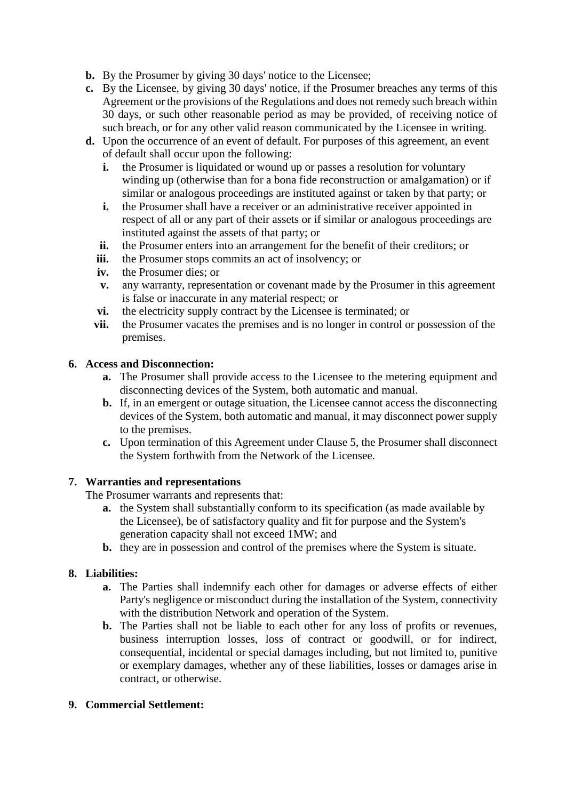- **b.** By the Prosumer by giving 30 days' notice to the Licensee;
- **c.** By the Licensee, by giving 30 days' notice, if the Prosumer breaches any terms of this Agreement or the provisions of the Regulations and does not remedy such breach within 30 days, or such other reasonable period as may be provided, of receiving notice of such breach, or for any other valid reason communicated by the Licensee in writing.
- **d.** Upon the occurrence of an event of default. For purposes of this agreement, an event of default shall occur upon the following:
	- **i.** the Prosumer is liquidated or wound up or passes a resolution for voluntary winding up (otherwise than for a bona fide reconstruction or amalgamation) or if similar or analogous proceedings are instituted against or taken by that party; or
	- **i.** the Prosumer shall have a receiver or an administrative receiver appointed in respect of all or any part of their assets or if similar or analogous proceedings are instituted against the assets of that party; or
	- **ii.** the Prosumer enters into an arrangement for the benefit of their creditors; or
	- **iii.** the Prosumer stops commits an act of insolvency; or
	- **iv.** the Prosumer dies; or
	- **v.** any warranty, representation or covenant made by the Prosumer in this agreement is false or inaccurate in any material respect; or
	- **vi.** the electricity supply contract by the Licensee is terminated; or
	- **vii.** the Prosumer vacates the premises and is no longer in control or possession of the premises.

#### **6. Access and Disconnection:**

- **a.** The Prosumer shall provide access to the Licensee to the metering equipment and disconnecting devices of the System, both automatic and manual.
- **b.** If, in an emergent or outage situation, the Licensee cannot access the disconnecting devices of the System, both automatic and manual, it may disconnect power supply to the premises.
- **c.** Upon termination of this Agreement under Clause 5, the Prosumer shall disconnect the System forthwith from the Network of the Licensee.

#### **7. Warranties and representations**

The Prosumer warrants and represents that:

- **a.** the System shall substantially conform to its specification (as made available by the Licensee), be of satisfactory quality and fit for purpose and the System's generation capacity shall not exceed 1MW; and
- **b.** they are in possession and control of the premises where the System is situate.

# **8. Liabilities:**

- **a.** The Parties shall indemnify each other for damages or adverse effects of either Party's negligence or misconduct during the installation of the System, connectivity with the distribution Network and operation of the System.
- **b.** The Parties shall not be liable to each other for any loss of profits or revenues, business interruption losses, loss of contract or goodwill, or for indirect, consequential, incidental or special damages including, but not limited to, punitive or exemplary damages, whether any of these liabilities, losses or damages arise in contract, or otherwise.

# **9. Commercial Settlement:**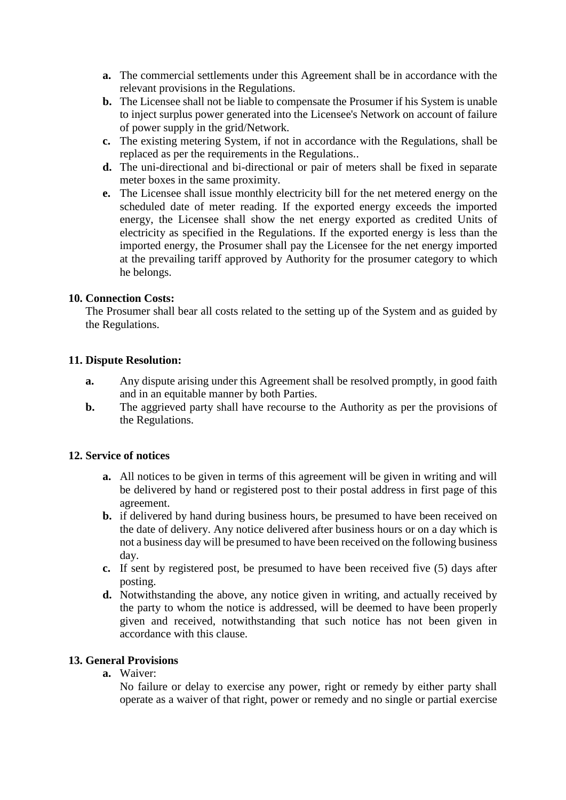- **a.** The commercial settlements under this Agreement shall be in accordance with the relevant provisions in the Regulations.
- **b.** The Licensee shall not be liable to compensate the Prosumer if his System is unable to inject surplus power generated into the Licensee's Network on account of failure of power supply in the grid/Network.
- **c.** The existing metering System, if not in accordance with the Regulations, shall be replaced as per the requirements in the Regulations..
- **d.** The uni-directional and bi-directional or pair of meters shall be fixed in separate meter boxes in the same proximity.
- **e.** The Licensee shall issue monthly electricity bill for the net metered energy on the scheduled date of meter reading. If the exported energy exceeds the imported energy, the Licensee shall show the net energy exported as credited Units of electricity as specified in the Regulations. If the exported energy is less than the imported energy, the Prosumer shall pay the Licensee for the net energy imported at the prevailing tariff approved by Authority for the prosumer category to which he belongs.

#### **10. Connection Costs:**

The Prosumer shall bear all costs related to the setting up of the System and as guided by the Regulations.

#### **11. Dispute Resolution:**

- **a.** Any dispute arising under this Agreement shall be resolved promptly, in good faith and in an equitable manner by both Parties.
- **b.** The aggrieved party shall have recourse to the Authority as per the provisions of the Regulations.

#### **12. Service of notices**

- **a.** All notices to be given in terms of this agreement will be given in writing and will be delivered by hand or registered post to their postal address in first page of this agreement.
- **b.** if delivered by hand during business hours, be presumed to have been received on the date of delivery. Any notice delivered after business hours or on a day which is not a business day will be presumed to have been received on the following business day.
- **c.** If sent by registered post, be presumed to have been received five (5) days after posting.
- **d.** Notwithstanding the above, any notice given in writing, and actually received by the party to whom the notice is addressed, will be deemed to have been properly given and received, notwithstanding that such notice has not been given in accordance with this clause.

#### **13. General Provisions**

**a.** Waiver:

No failure or delay to exercise any power, right or remedy by either party shall operate as a waiver of that right, power or remedy and no single or partial exercise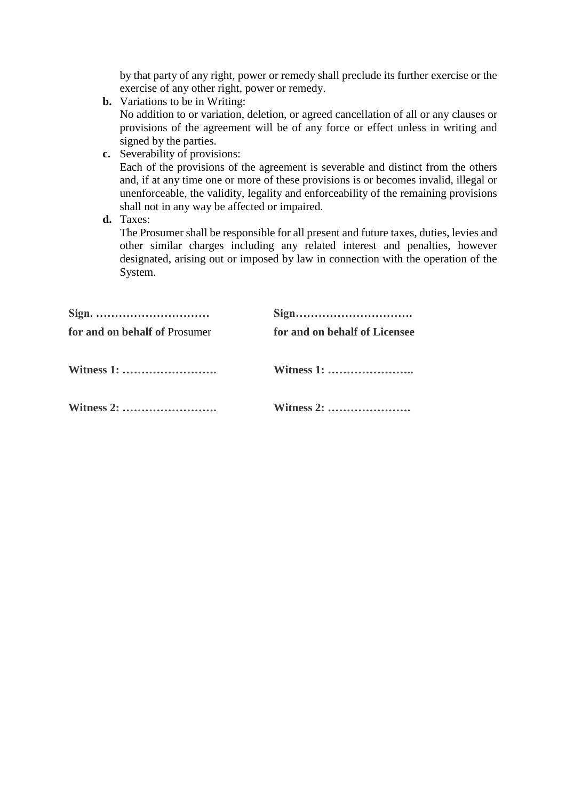by that party of any right, power or remedy shall preclude its further exercise or the exercise of any other right, power or remedy.

**b.** Variations to be in Writing:

No addition to or variation, deletion, or agreed cancellation of all or any clauses or provisions of the agreement will be of any force or effect unless in writing and signed by the parties.

**c.** Severability of provisions:

Each of the provisions of the agreement is severable and distinct from the others and, if at any time one or more of these provisions is or becomes invalid, illegal or unenforceable, the validity, legality and enforceability of the remaining provisions shall not in any way be affected or impaired.

**d.** Taxes:

The Prosumer shall be responsible for all present and future taxes, duties, levies and other similar charges including any related interest and penalties, however designated, arising out or imposed by law in connection with the operation of the System.

| Sign. $\dots \dots \dots \dots \dots \dots \dots \dots \dots$ |                               |
|---------------------------------------------------------------|-------------------------------|
| for and on behalf of Prosumer                                 | for and on behalf of Licensee |
|                                                               |                               |
|                                                               | Witness 2:                    |